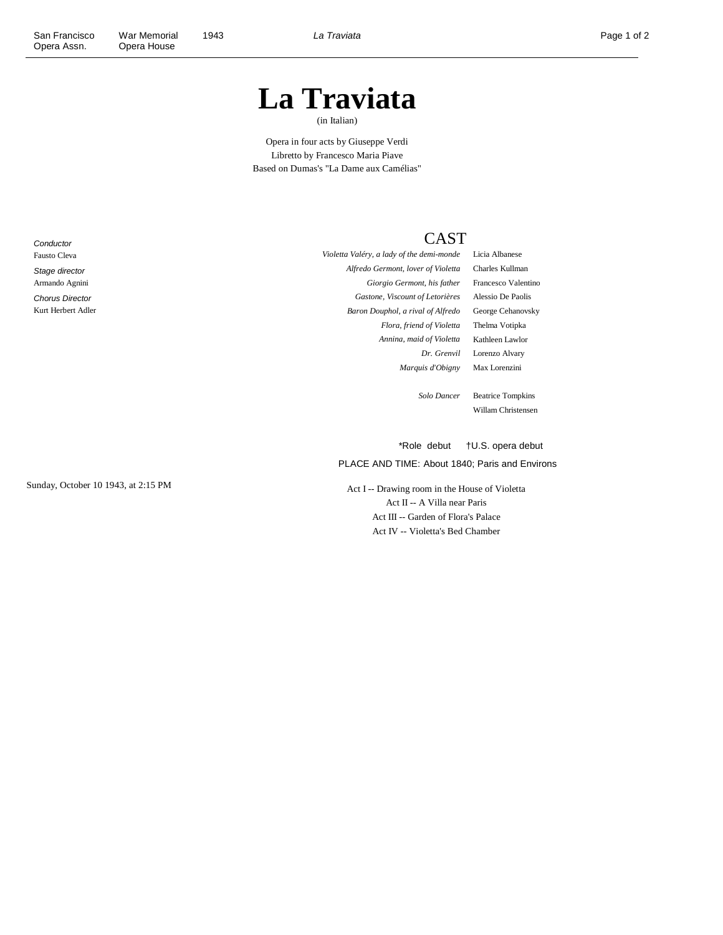# **La Traviata**

(in Italian)

Opera in four acts by Giuseppe Verdi Libretto by Francesco Maria Piave Based on Dumas's "La Dame aux Camélias"

**Conductor** Fausto Cleva Stage director Armando Agnini Chorus Director Kurt Herbert Adler CAST

*Violetta Valéry, a lady of the demi-monde* Licia Albanese *Alfredo Germont, lover of Violetta* Charles Kullman *Giorgio Germont, his father* Francesco Valentino *Gastone, Viscount of Letorières* Alessio De Paolis *Baron Douphol, a rival of Alfredo* George Cehanovsky *Flora, friend of Violetta* Thelma Votipka *Annina, maid of Violetta* Kathleen Lawlor *Marquis d'Obigny* Max Lorenzini

*Dr. Grenvil* Lorenzo Alvary

*Solo Dancer* Beatrice Tompkins Willam Christensen

\*Role debut †U.S. opera debut

PLACE AND TIME: About 1840; Paris and Environs

Sunday, October 10 1943, at 2:15 PM Act I -- Drawing room in the House of Violetta Act II -- A Villa near Paris Act III -- Garden of Flora's Palace Act IV -- Violetta's Bed Chamber